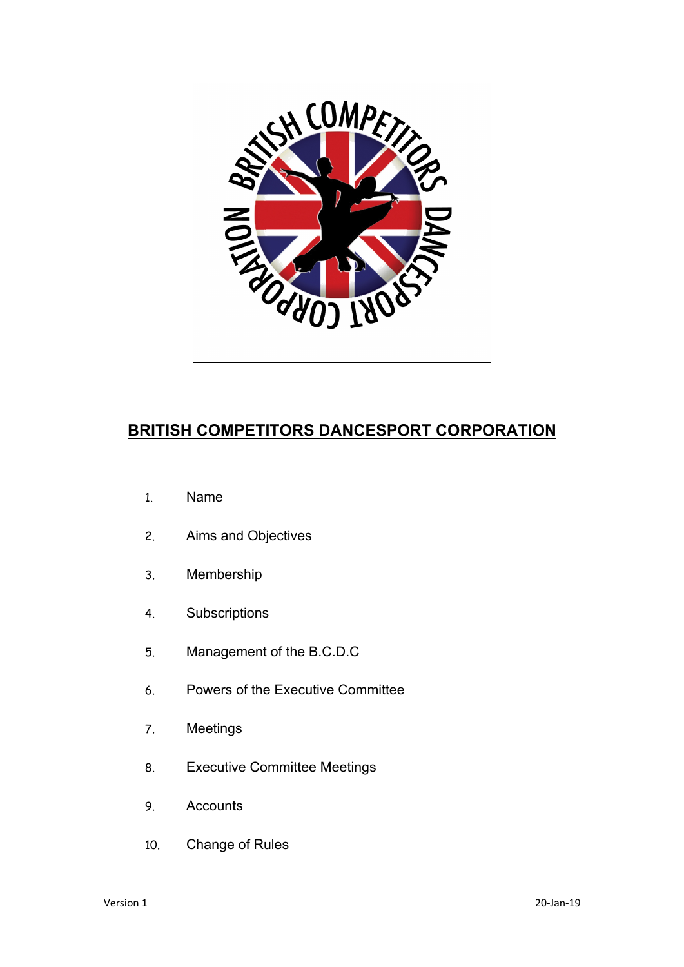

# **BRITISH COMPETITORS DANCESPORT CORPORATION**

- 1. Name
- 2. Aims and Objectives
- 3. Membership
- 4. Subscriptions
- 5. Management of the B.C.D.C
- 6. Powers of the Executive Committee
- 7. Meetings
- 8. Executive Committee Meetings
- 9. Accounts
- 10. Change of Rules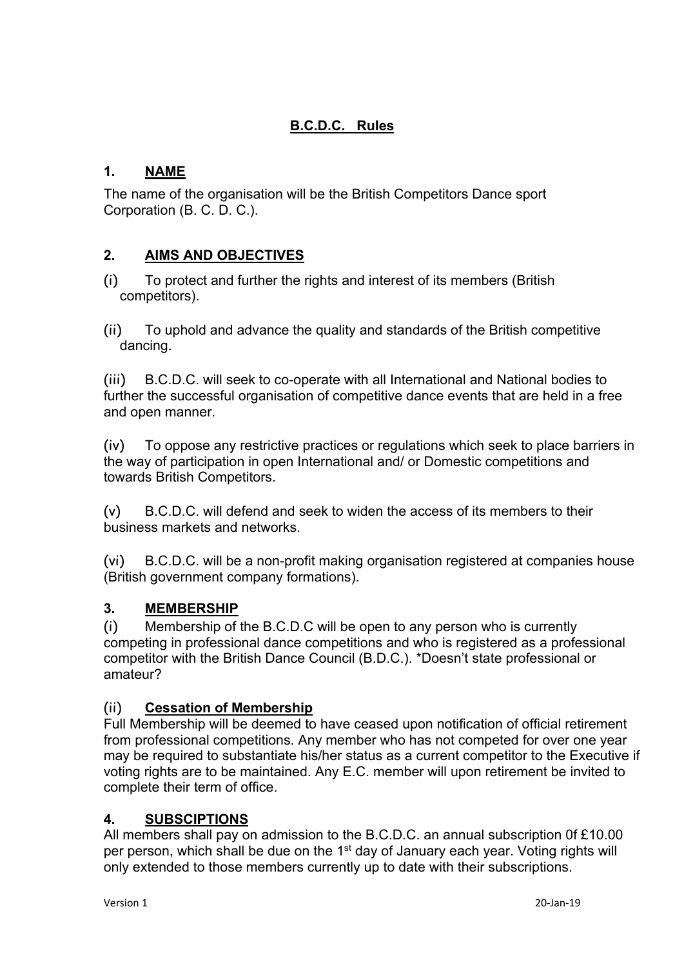# **B.C.D.C. Rules**

# **1. NAME**

The name of the organisation will be the British Competitors Dance sport Corporation (B. C. D. C.).

# **2. AIMS AND OBJECTIVES**

- (i) To protect and further the rights and interest of its members (British competitors).
- (ii) To uphold and advance the quality and standards of the British competitive dancing.

(iii) B.C.D.C. will seek to co-operate with all International and National bodies to further the successful organisation of competitive dance events that are held in a free and open manner.

(iv) To oppose any restrictive practices or regulations which seek to place barriers in the way of participation in open International and/ or Domestic competitions and towards British Competitors.

(v) B.C.D.C. will defend and seek to widen the access of its members to their business markets and networks.

(vi) B.C.D.C. will be a non-profit making organisation registered at companies house (British government company formations).

### **3. MEMBERSHIP**

(i) Membership of the B.C.D.C will be open to any person who is currently competing in professional dance competitions and who is registered as a professional competitor with the British Dance Council (B.D.C.). \*Doesn't state professional or amateur?

### (ii) **Cessation of Membership**

Full Membership will be deemed to have ceased upon notification of official retirement from professional competitions. Any member who has not competed for over one year may be required to substantiate his/her status as a current competitor to the Executive if voting rights are to be maintained. Any E.C. member will upon retirement be invited to complete their term of office.

### **4. SUBSCIPTIONS**

All members shall pay on admission to the B.C.D.C. an annual subscription 0f £10.00 per person, which shall be due on the 1<sup>st</sup> day of January each year. Voting rights will only extended to those members currently up to date with their subscriptions.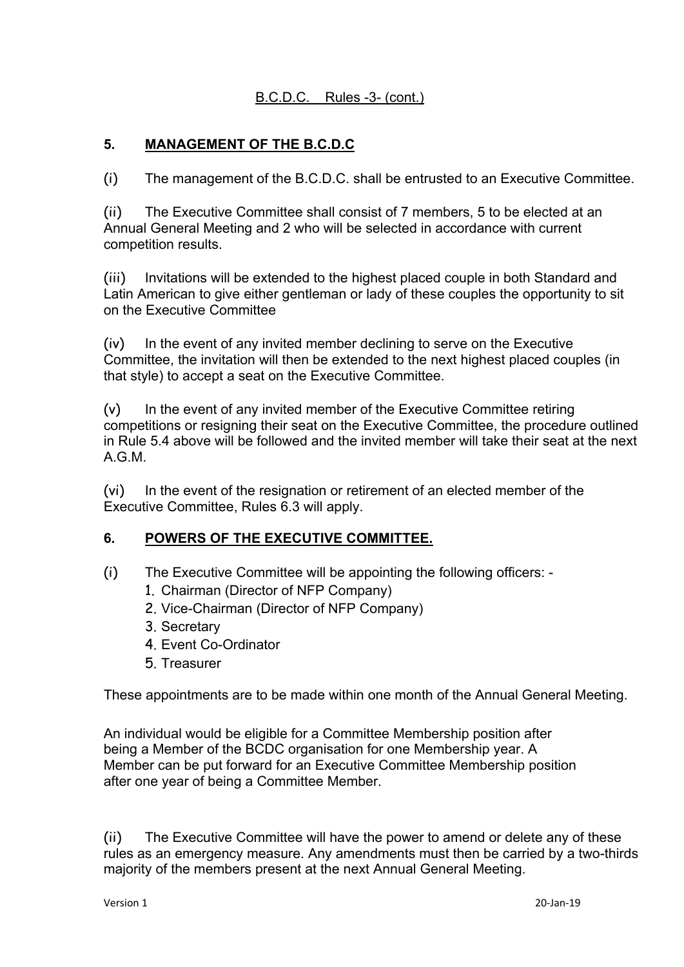# B.C.D.C. Rules -3- (cont.)

# **5. MANAGEMENT OF THE B.C.D.C**

(i) The management of the B.C.D.C. shall be entrusted to an Executive Committee.

(ii) The Executive Committee shall consist of 7 members, 5 to be elected at an Annual General Meeting and 2 who will be selected in accordance with current competition results.

(iii) Invitations will be extended to the highest placed couple in both Standard and Latin American to give either gentleman or lady of these couples the opportunity to sit on the Executive Committee

(iv) In the event of any invited member declining to serve on the Executive Committee, the invitation will then be extended to the next highest placed couples (in that style) to accept a seat on the Executive Committee.

 $(v)$  In the event of any invited member of the Executive Committee retiring competitions or resigning their seat on the Executive Committee, the procedure outlined in Rule 5.4 above will be followed and the invited member will take their seat at the next A.G.M.

(vi) In the event of the resignation or retirement of an elected member of the Executive Committee, Rules 6.3 will apply.

#### **6. POWERS OF THE EXECUTIVE COMMITTEE.**

- (i) The Executive Committee will be appointing the following officers:
	- 1. Chairman (Director of NFP Company)
	- 2. Vice-Chairman (Director of NFP Company)
	- 3. Secretary
	- 4. Event Co-Ordinator
	- 5. Treasurer

These appointments are to be made within one month of the Annual General Meeting.

An individual would be eligible for a Committee Membership position after being a Member of the BCDC organisation for one Membership year. A Member can be put forward for an Executive Committee Membership position after one year of being a Committee Member.

(ii) The Executive Committee will have the power to amend or delete any of these rules as an emergency measure. Any amendments must then be carried by a two-thirds majority of the members present at the next Annual General Meeting.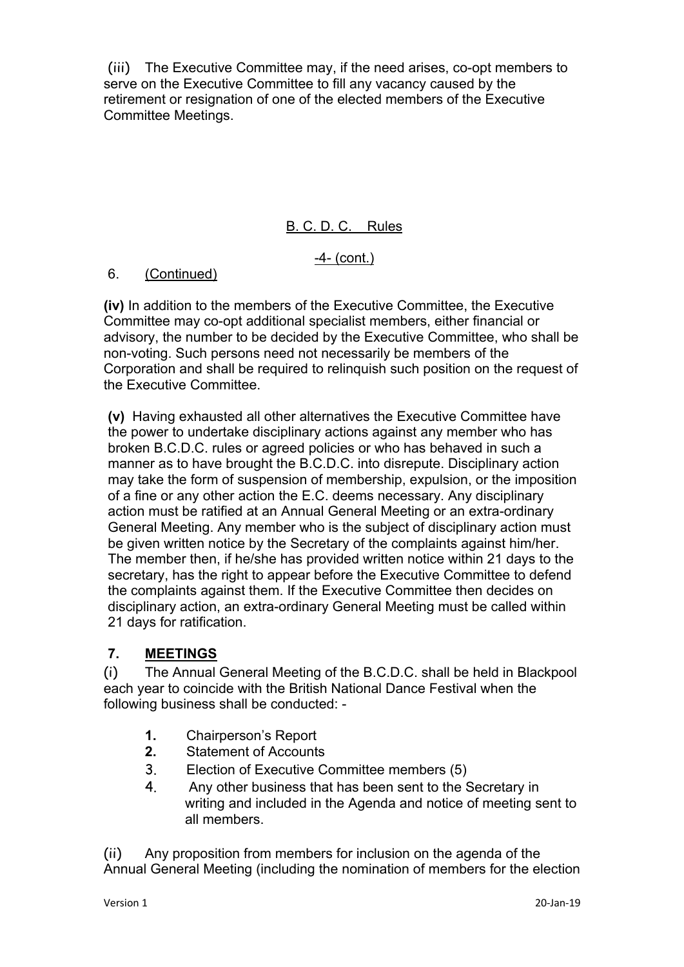(iii) The Executive Committee may, if the need arises, co-opt members to serve on the Executive Committee to fill any vacancy caused by the retirement or resignation of one of the elected members of the Executive Committee Meetings.

# B. C. D. C. Rules

-4- (cont.)

#### 6. (Continued)

**(iv)** In addition to the members of the Executive Committee, the Executive Committee may co-opt additional specialist members, either financial or advisory, the number to be decided by the Executive Committee, who shall be non-voting. Such persons need not necessarily be members of the Corporation and shall be required to relinquish such position on the request of the Executive Committee.

**(v)** Having exhausted all other alternatives the Executive Committee have the power to undertake disciplinary actions against any member who has broken B.C.D.C. rules or agreed policies or who has behaved in such a manner as to have brought the B.C.D.C. into disrepute. Disciplinary action may take the form of suspension of membership, expulsion, or the imposition of a fine or any other action the E.C. deems necessary. Any disciplinary action must be ratified at an Annual General Meeting or an extra-ordinary General Meeting. Any member who is the subject of disciplinary action must be given written notice by the Secretary of the complaints against him/her. The member then, if he/she has provided written notice within 21 days to the secretary, has the right to appear before the Executive Committee to defend the complaints against them. If the Executive Committee then decides on disciplinary action, an extra-ordinary General Meeting must be called within 21 days for ratification.

### **7. MEETINGS**

(i) The Annual General Meeting of the B.C.D.C. shall be held in Blackpool each year to coincide with the British National Dance Festival when the following business shall be conducted: -

- **1.** Chairperson's Report
- **2.** Statement of Accounts
- 3. Election of Executive Committee members (5)
- 4. Any other business that has been sent to the Secretary in writing and included in the Agenda and notice of meeting sent to all members.

(ii) Any proposition from members for inclusion on the agenda of the Annual General Meeting (including the nomination of members for the election